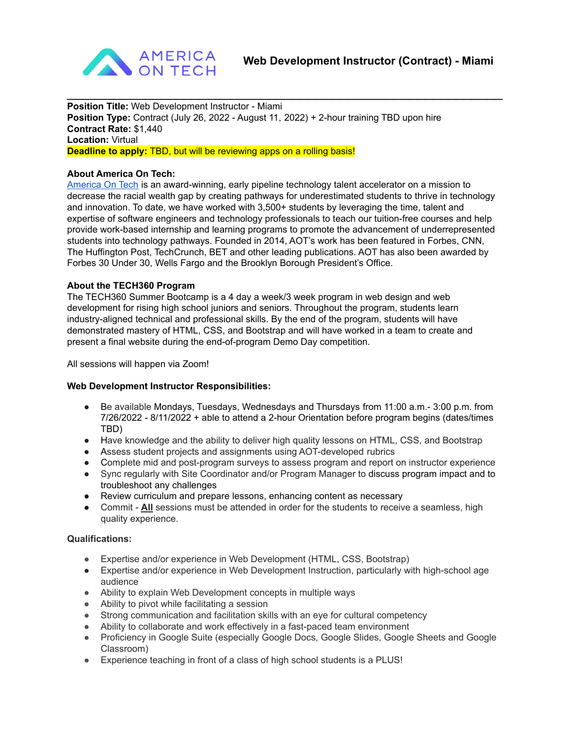

**Position Title:** Web Development Instructor - Miami **Position Type:** Contract (July 26, 2022 - August 11, 2022) + 2-hour training TBD upon hire **Contract Rate:** \$1,440 **Location:** Virtual **Deadline to apply:** TBD, but will be reviewing apps on a rolling basis!

## **About America On Tech:**

[America](https://www.americaontech.org/) On Tech is an award-winning, early pipeline technology talent accelerator on a mission to decrease the racial wealth gap by creating pathways for underestimated students to thrive in technology and innovation. To date, we have worked with 3,500+ students by leveraging the time, talent and expertise of software engineers and technology professionals to teach our tuition-free courses and help provide work-based internship and learning programs to promote the advancement of underrepresented students into technology pathways. Founded in 2014, AOT's work has been featured in Forbes, CNN, The Huffington Post, TechCrunch, BET and other leading publications. AOT has also been awarded by Forbes 30 Under 30, Wells Fargo and the Brooklyn Borough President's Office.

 $\mathcal{L}_\text{max}$  and  $\mathcal{L}_\text{max}$  and  $\mathcal{L}_\text{max}$  and  $\mathcal{L}_\text{max}$  and  $\mathcal{L}_\text{max}$  and  $\mathcal{L}_\text{max}$ 

## **About the TECH360 Program**

The TECH360 Summer Bootcamp is a 4 day a week/3 week program in web design and web development for rising high school juniors and seniors. Throughout the program, students learn industry-aligned technical and professional skills. By the end of the program, students will have demonstrated mastery of HTML, CSS, and Bootstrap and will have worked in a team to create and present a final website during the end-of-program Demo Day competition.

All sessions will happen via Zoom!

#### **Web Development Instructor Responsibilities:**

- Be available Mondays, Tuesdays, Wednesdays and Thursdays from 11:00 a.m. 3:00 p.m. from 7/26/2022 - 8/11/2022 + able to attend a 2-hour Orientation before program begins (dates/times TBD)
- Have knowledge and the ability to deliver high quality lessons on HTML, CSS, and Bootstrap
- Assess student projects and assignments using AOT-developed rubrics
- Complete mid and post-program surveys to assess program and report on instructor experience
- Sync regularly with Site Coordinator and/or Program Manager to discuss program impact and to troubleshoot any challenges
- Review curriculum and prepare lessons, enhancing content as necessary
- Commit **All** sessions must be attended in order for the students to receive a seamless, high quality experience.

# **Qualifications:**

- Expertise and/or experience in Web Development (HTML, CSS, Bootstrap)
- Expertise and/or experience in Web Development Instruction, particularly with high-school age audience
- Ability to explain Web Development concepts in multiple ways
- Ability to pivot while facilitating a session
- Strong communication and facilitation skills with an eye for cultural competency
- Ability to collaborate and work effectively in a fast-paced team environment
- Proficiency in Google Suite (especially Google Docs, Google Slides, Google Sheets and Google Classroom)
- Experience teaching in front of a class of high school students is a PLUS!